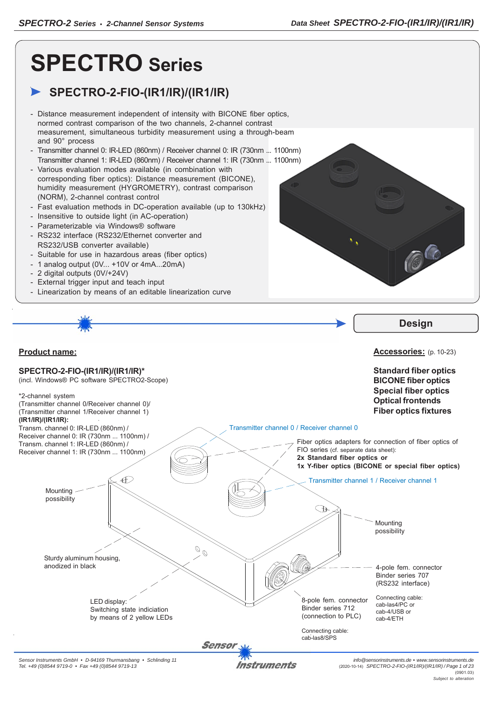# **SPECTRO Series**

# **SPECTRO-2-FIO-(IR1/IR)/(IR1/IR)**

- Distance measurement independent of intensity with BICONE fiber optics, normed contrast comparison of the two channels, 2-channel contrast measurement, simultaneous turbidity measurement using a through-beam and 90° process
- Transmitter channel 0: IR-LED (860nm) / Receiver channel 0: IR (730nm ... 1100nm) Transmitter channel 1: IR-LED (860nm) / Receiver channel 1: IR (730nm ... 1100nm)
- Various evaluation modes available (in combination with corresponding fiber optics): Distance measurement (BICONE), humidity measurement (HYGROMETRY), contrast comparison (NORM), 2-channel contrast control
- Fast evaluation methods in DC-operation available (up to 130kHz)
- Insensitive to outside light (in AC-operation)
- Parameterizable via Windows® software
- RS232 interface (RS232/Ethernet converter and RS232/USB converter available)
- Suitable for use in hazardous areas (fiber optics)
- 1 analog output (0V... +10V or 4mA...20mA)
- 2 digital outputs (0V/+24V)
- External trigger input and teach input
- Linearization by means of an editable linearization curve



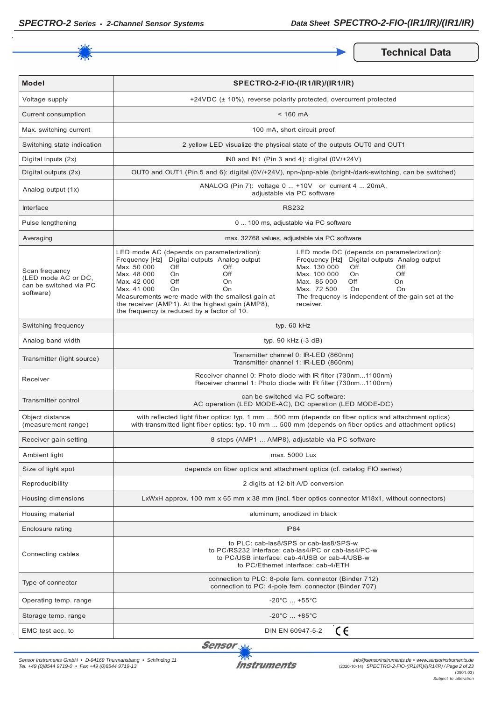

**Technical Data** 

| <b>Model</b>                                                                 | SPECTRO-2-FIO-(IR1/IR)/(IR1/IR)                                                                                                                                                                                                                                                                                                                                                                                                                                                                                                                                                                                                                                                  |  |  |
|------------------------------------------------------------------------------|----------------------------------------------------------------------------------------------------------------------------------------------------------------------------------------------------------------------------------------------------------------------------------------------------------------------------------------------------------------------------------------------------------------------------------------------------------------------------------------------------------------------------------------------------------------------------------------------------------------------------------------------------------------------------------|--|--|
| Voltage supply                                                               | +24VDC (± 10%), reverse polarity protected, overcurrent protected                                                                                                                                                                                                                                                                                                                                                                                                                                                                                                                                                                                                                |  |  |
| Current consumption                                                          | $< 160$ mA                                                                                                                                                                                                                                                                                                                                                                                                                                                                                                                                                                                                                                                                       |  |  |
| Max. switching current                                                       | 100 mA, short circuit proof                                                                                                                                                                                                                                                                                                                                                                                                                                                                                                                                                                                                                                                      |  |  |
| Switching state indication                                                   | 2 yellow LED visualize the physical state of the outputs OUT0 and OUT1                                                                                                                                                                                                                                                                                                                                                                                                                                                                                                                                                                                                           |  |  |
| Digital inputs (2x)                                                          | INO and IN1 (Pin 3 and 4): digital $(0V/+24V)$                                                                                                                                                                                                                                                                                                                                                                                                                                                                                                                                                                                                                                   |  |  |
| Digital outputs (2x)                                                         | OUT0 and OUT1 (Pin 5 and 6): digital (0V/+24V), npn-/pnp-able (bright-/dark-switching, can be switched)                                                                                                                                                                                                                                                                                                                                                                                                                                                                                                                                                                          |  |  |
| Analog output (1x)                                                           | ANALOG (Pin 7): voltage 0  +10V or current 4  20mA,<br>adjustable via PC software                                                                                                                                                                                                                                                                                                                                                                                                                                                                                                                                                                                                |  |  |
| <b>Interface</b>                                                             | <b>RS232</b>                                                                                                                                                                                                                                                                                                                                                                                                                                                                                                                                                                                                                                                                     |  |  |
| Pulse lengthening                                                            | 0  100 ms, adjustable via PC software                                                                                                                                                                                                                                                                                                                                                                                                                                                                                                                                                                                                                                            |  |  |
| Averaging                                                                    | max. 32768 values, adjustable via PC software                                                                                                                                                                                                                                                                                                                                                                                                                                                                                                                                                                                                                                    |  |  |
| Scan frequency<br>(LED mode AC or DC,<br>can be switched via PC<br>software) | LED mode AC (depends on parameterization):<br>LED mode DC (depends on parameterization):<br>Frequency [Hz] Digital outputs Analog output<br>Frequency [Hz] Digital outputs Analog output<br>Max. 50 000<br>Max. 130 000<br>Off<br>Off<br>Off<br>Off<br>Max. 48 000<br>Off<br>Max. 100 000<br>Off<br>On.<br>On.<br>Max. 42 000<br>Off<br>Max. 85 000<br>Off<br>On.<br>On<br>Max. 41 000<br>Max. 72 500<br>O <sub>n</sub><br>O <sub>n</sub><br>On<br>On<br>Measurements were made with the smallest gain at<br>The frequency is independent of the gain set at the<br>the receiver (AMP1). At the highest gain (AMP8),<br>receiver.<br>the frequency is reduced by a factor of 10. |  |  |
| Switching frequency                                                          | typ. 60 kHz                                                                                                                                                                                                                                                                                                                                                                                                                                                                                                                                                                                                                                                                      |  |  |
| Analog band width                                                            | typ. $90$ kHz $(-3$ dB)                                                                                                                                                                                                                                                                                                                                                                                                                                                                                                                                                                                                                                                          |  |  |
| Transmitter (light source)                                                   | Transmitter channel 0: IR-LED (860nm)<br>Transmitter channel 1: IR-LED (860nm)                                                                                                                                                                                                                                                                                                                                                                                                                                                                                                                                                                                                   |  |  |
| Receiver                                                                     | Receiver channel 0: Photo diode with IR filter (730nm1100nm)<br>Receiver channel 1: Photo diode with IR filter (730nm1100nm)                                                                                                                                                                                                                                                                                                                                                                                                                                                                                                                                                     |  |  |
| Transmitter control                                                          | can be switched via PC software:<br>AC operation (LED MODE-AC), DC operation (LED MODE-DC)                                                                                                                                                                                                                                                                                                                                                                                                                                                                                                                                                                                       |  |  |
| Object distance<br>(measurement range)                                       | with reflected light fiber optics: typ. 1 mm  500 mm (depends on fiber optics and attachment optics)<br>with transmitted light fiber optics: typ. 10 mm  500 mm (depends on fiber optics and attachment optics)                                                                                                                                                                                                                                                                                                                                                                                                                                                                  |  |  |
| Receiver gain setting                                                        | 8 steps (AMP1  AMP8), adjustable via PC software                                                                                                                                                                                                                                                                                                                                                                                                                                                                                                                                                                                                                                 |  |  |
| Ambient light                                                                | max. 5000 Lux                                                                                                                                                                                                                                                                                                                                                                                                                                                                                                                                                                                                                                                                    |  |  |
| Size of light spot                                                           | depends on fiber optics and attachment optics (cf. catalog FIO series)                                                                                                                                                                                                                                                                                                                                                                                                                                                                                                                                                                                                           |  |  |
| Reproducibility                                                              | 2 digits at 12-bit A/D conversion                                                                                                                                                                                                                                                                                                                                                                                                                                                                                                                                                                                                                                                |  |  |
| Housing dimensions                                                           | LxWxH approx. 100 mm x 65 mm x 38 mm (incl. fiber optics connector M18x1, without connectors)                                                                                                                                                                                                                                                                                                                                                                                                                                                                                                                                                                                    |  |  |
| Housing material                                                             | aluminum, anodized in black                                                                                                                                                                                                                                                                                                                                                                                                                                                                                                                                                                                                                                                      |  |  |
| Enclosure rating                                                             | <b>IP64</b>                                                                                                                                                                                                                                                                                                                                                                                                                                                                                                                                                                                                                                                                      |  |  |
| Connecting cables                                                            | to PLC: cab-las8/SPS or cab-las8/SPS-w<br>to PC/RS232 interface: cab-las4/PC or cab-las4/PC-w<br>to PC/USB interface: cab-4/USB or cab-4/USB-w<br>to PC/Ethernet interface: cab-4/ETH                                                                                                                                                                                                                                                                                                                                                                                                                                                                                            |  |  |
| Type of connector                                                            | connection to PLC: 8-pole fem. connector (Binder 712)<br>connection to PC: 4-pole fem. connector (Binder 707)                                                                                                                                                                                                                                                                                                                                                                                                                                                                                                                                                                    |  |  |
| Operating temp. range                                                        | $-20^{\circ}$ C  +55 $^{\circ}$ C                                                                                                                                                                                                                                                                                                                                                                                                                                                                                                                                                                                                                                                |  |  |
| Storage temp. range                                                          | $-20^{\circ}$ C $+85^{\circ}$ C                                                                                                                                                                                                                                                                                                                                                                                                                                                                                                                                                                                                                                                  |  |  |
| EMC test acc. to                                                             | CE<br>DIN EN 60947-5-2                                                                                                                                                                                                                                                                                                                                                                                                                                                                                                                                                                                                                                                           |  |  |

Sensor<sub>N</sub>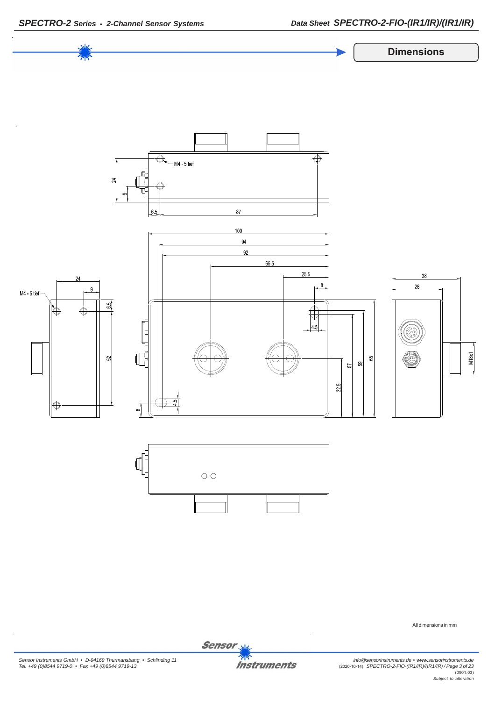

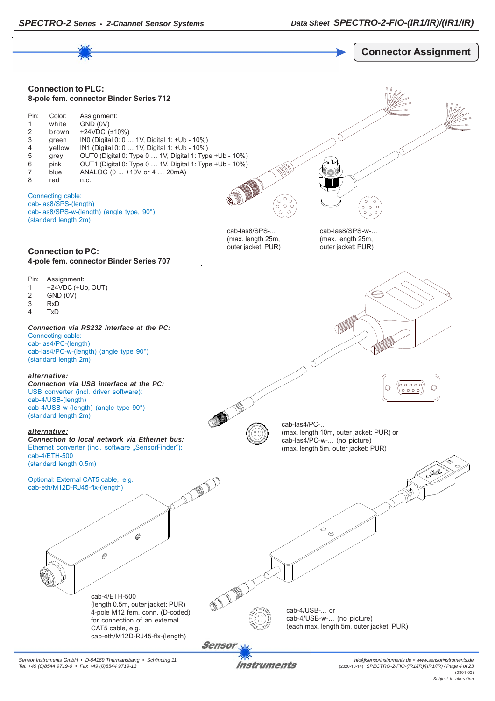

*Sensor Instruments GmbH • D-94169 Thurmansbang • Schlinding 11 Tel. +49 (0)8544 9719-0 • Fax +49 (0)8544 9719-13*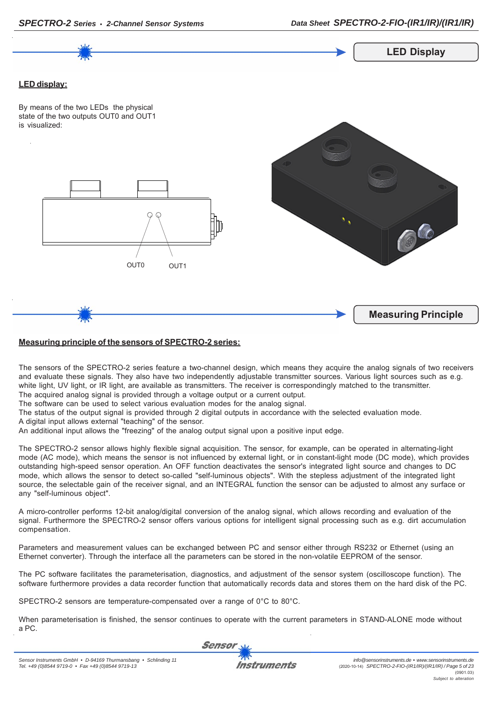

# **Measuring principle of the sensors of SPECTRO-2 series:**

The sensors of the SPECTRO-2 series feature a two-channel design, which means they acquire the analog signals of two receivers and evaluate these signals. They also have two independently adjustable transmitter sources. Various light sources such as e.g. white light, UV light, or IR light, are available as transmitters. The receiver is correspondingly matched to the transmitter. The acquired analog signal is provided through a voltage output or a current output.

The software can be used to select various evaluation modes for the analog signal.

The status of the output signal is provided through 2 digital outputs in accordance with the selected evaluation mode.

A digital input allows external "teaching" of the sensor.

An additional input allows the "freezing" of the analog output signal upon a positive input edge.

The SPECTRO-2 sensor allows highly flexible signal acquisition. The sensor, for example, can be operated in alternating-light mode (AC mode), which means the sensor is not influenced by external light, or in constant-light mode (DC mode), which provides outstanding high-speed sensor operation. An OFF function deactivates the sensor's integrated light source and changes to DC mode, which allows the sensor to detect so-called "self-luminous objects". With the stepless adjustment of the integrated light source, the selectable gain of the receiver signal, and an INTEGRAL function the sensor can be adjusted to almost any surface or any "self-luminous object".

A micro-controller performs 12-bit analog/digital conversion of the analog signal, which allows recording and evaluation of the signal. Furthermore the SPECTRO-2 sensor offers various options for intelligent signal processing such as e.g. dirt accumulation compensation.

Parameters and measurement values can be exchanged between PC and sensor either through RS232 or Ethernet (using an Ethernet converter). Through the interface all the parameters can be stored in the non-volatile EEPROM of the sensor.

The PC software facilitates the parameterisation, diagnostics, and adjustment of the sensor system (oscilloscope function). The software furthermore provides a data recorder function that automatically records data and stores them on the hard disk of the PC.

SPECTRO-2 sensors are temperature-compensated over a range of 0°C to 80°C.

When parameterisation is finished, the sensor continues to operate with the current parameters in STAND-ALONE mode without a PC.

Sensor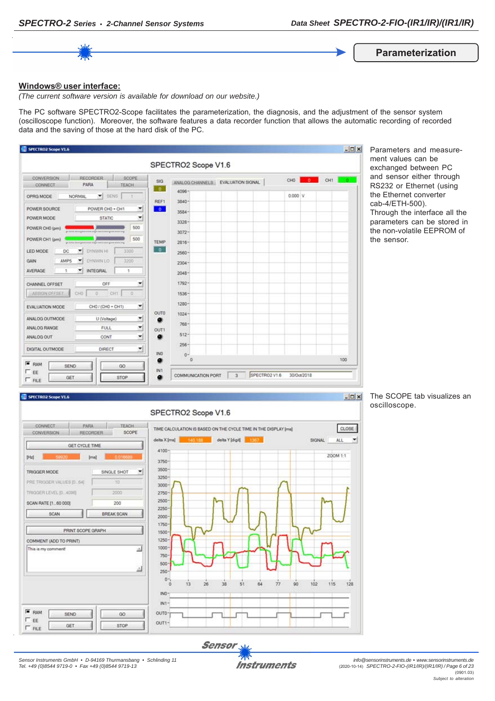

**Parameterization**

### **Windows® user interface:**

*(The current software version is available for download on our website.)*

The PC software SPECTRO2-Scope facilitates the parameterization, the diagnosis, and the adjustment of the sensor system (oscilloscope function). Moreover, the software features a data recorder function that allows the automatic recording of recorded data and the saving of those at the hard disk of the PC.

|                                                                    |                        | SPECTRO2 Scope V1.6               |  |         |      |     |
|--------------------------------------------------------------------|------------------------|-----------------------------------|--|---------|------|-----|
| RECORDER<br>SCOPE<br>CONVERSION<br>PARA<br><b>TEACH</b><br>CONNECT | <b>SIG</b><br>$\alpha$ | ANALOG CHANNELS EVALUATION SIGNAL |  | CHO     | $-0$ | CH1 |
| ×<br>SENS<br>OPRG MODE<br><b>NORMAL</b><br>$\rightarrow$           | REF1                   | $4096 -$<br>$3840 -$              |  | 0.000 V |      |     |
| POWER SOURCE<br>POWER CHO + CH1<br>۳                               | $\bullet$              | $3584 -$                          |  |         |      |     |
| ۰<br>POWER MODE<br><b>STATIC</b>                                   |                        | $3328 -$                          |  |         |      |     |
| 500<br>POWER CHO (pm)                                              |                        | $3072 -$                          |  |         |      |     |
| 500<br>POWER CH1 (pm)                                              | TEMP                   | $2816 -$                          |  |         |      |     |
| LED MODE<br>DC<br><b>DYNWIN HI</b><br>3300                         | $\bullet$              | $2560 -$                          |  |         |      |     |
| DYNWIN LO<br>3200<br>AMP5                                          |                        | $2304 -$                          |  |         |      |     |
| <b>INTEGRAL</b><br>AVERAGE<br>$\overline{\phantom{a}}$<br>٠        |                        | $2048 -$                          |  |         |      |     |
| OFF<br>٠<br>CHANNEL OFFSET                                         |                        | 1792-                             |  |         |      |     |
| ASSIGN OFFSET<br>CHO<br>$\circ$<br>CHT<br>$\Omega$                 |                        | $1536 -$                          |  |         |      |     |
| ≛<br>CH0 / (CH0 + CH1)<br>EVALUATION MODE                          |                        | $1280 -$                          |  |         |      |     |
| ۳<br>ANALOG OUTMODE<br>U (Voltage)                                 | <b>OUTO</b><br>۰       | $1024 -$                          |  |         |      |     |
| ×<br>FULL<br>ANALOG RANGE                                          | <b>OUT1</b>            | $768 -$                           |  |         |      |     |
| ٠<br>ANALOG OUT<br>CONT                                            | ۰                      | $512 -$                           |  |         |      |     |
| 뇌<br>DIGITAL OUTMODE<br>DIRECT                                     |                        | $256 -$                           |  |         |      |     |
| $F$ RAM                                                            | INO.<br>۰              | $0 -$<br>$\circ$                  |  |         |      | 100 |

Parameters and measurement values can be exchanged between PC and sensor either through RS232 or Ethernet (using the Ethernet converter cab-4/ETH-500). Through the interface all the parameters can be stored in the non-volatile EEPROM of the sensor.

#### SPECTRO2 Scope V1.6





The SCOPE tab visualizes an oscilloscope.

 $|D| \times$ 

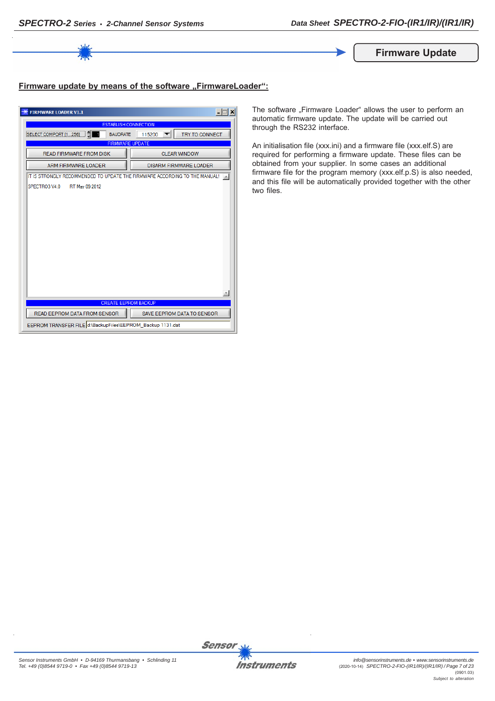

**Firmware Update**

# **Firmware update by means of the software ..FirmwareLoader":**

| $ \Box$ $\times$<br><b>FIRMWARE LOADER V1.1</b>                            |                                   |  |  |
|----------------------------------------------------------------------------|-----------------------------------|--|--|
| <b>ESTABLISH CONNECTION</b>                                                |                                   |  |  |
| <b>SELECT COMPORT [1256]</b><br><b>BAUDRATE</b>                            | TRY TO CONNECT<br>115200          |  |  |
| <b>FIRMWARE UPDATE</b>                                                     |                                   |  |  |
| <b>READ FIRMWARE FROM DISK</b>                                             | <b>CLEAR WINDOW</b>               |  |  |
| ARM FIRMWARE LOADER                                                        | <b>DISARM FIRMWARE LOADER</b>     |  |  |
| IT IS STRONGLY RECOMMENDED TO UPDATE THE FIRMWARE ACCORDING TO THE MANUAL! |                                   |  |  |
| SPECTRO3 V4.0<br>RT May 09 2012                                            |                                   |  |  |
|                                                                            |                                   |  |  |
|                                                                            |                                   |  |  |
|                                                                            |                                   |  |  |
|                                                                            |                                   |  |  |
|                                                                            |                                   |  |  |
|                                                                            |                                   |  |  |
|                                                                            |                                   |  |  |
|                                                                            |                                   |  |  |
|                                                                            |                                   |  |  |
|                                                                            |                                   |  |  |
|                                                                            |                                   |  |  |
|                                                                            |                                   |  |  |
| <b>CREATE EEPROM BACKUP</b>                                                |                                   |  |  |
| READ EEPROM DATA FROM SENSOR                                               | <b>SAVE EEPROM DATA TO SENSOR</b> |  |  |
| EEPROM TRANSFER FILE d:\BackupFiles\EEPROM_Backup 1131.dat                 |                                   |  |  |

The software "Firmware Loader" allows the user to perform an automatic firmware update. The update will be carried out through the RS232 interface.

An initialisation file (xxx.ini) and a firmware file (xxx.elf.S) are required for performing a firmware update. These files can be obtained from your supplier. In some cases an additional firmware file for the program memory (xxx.elf.p.S) is also needed, and this file will be automatically provided together with the other two files.

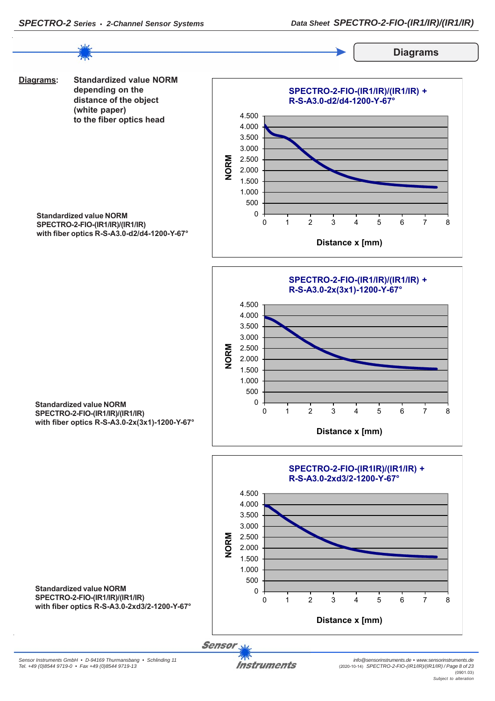

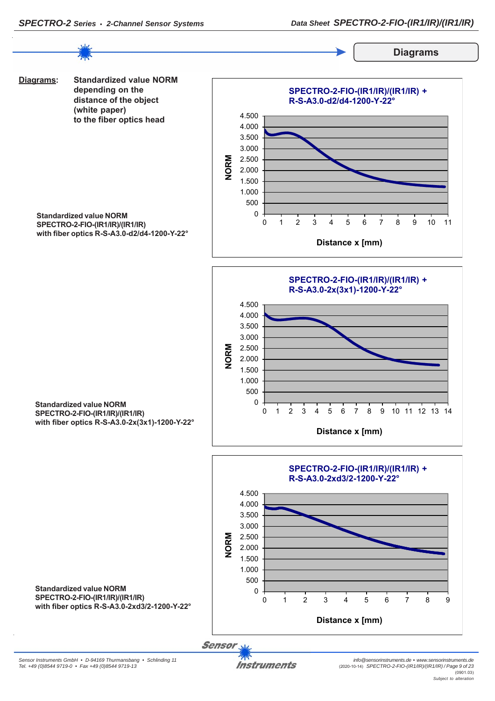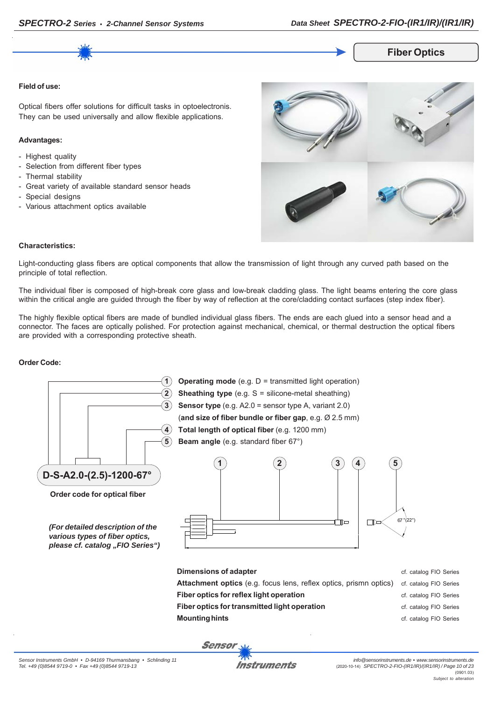# **Fiber Optics**

#### **Field of use:**

Optical fibers offer solutions for difficult tasks in optoelectronis. They can be used universally and allow flexible applications.

#### **Advantages:**

- Highest quality
- Selection from different fiber types
- Thermal stability
- Great variety of available standard sensor heads
- Special designs
- Various attachment optics available



#### **Characteristics:**

Light-conducting glass fibers are optical components that allow the transmission of light through any curved path based on the principle of total reflection.

The individual fiber is composed of high-break core glass and low-break cladding glass. The light beams entering the core glass within the critical angle are guided through the fiber by way of reflection at the core/cladding contact surfaces (step index fiber).

The highly flexible optical fibers are made of bundled individual glass fibers. The ends are each glued into a sensor head and a connector. The faces are optically polished. For protection against mechanical, chemical, or thermal destruction the optical fibers are provided with a corresponding protective sheath.

#### **Order Code:**



*Sensor Instruments GmbH • D-94169 Thurmansbang • Schlinding 11 Tel. +49 (0)8544 9719-0 • Fax +49 (0)8544 9719-13*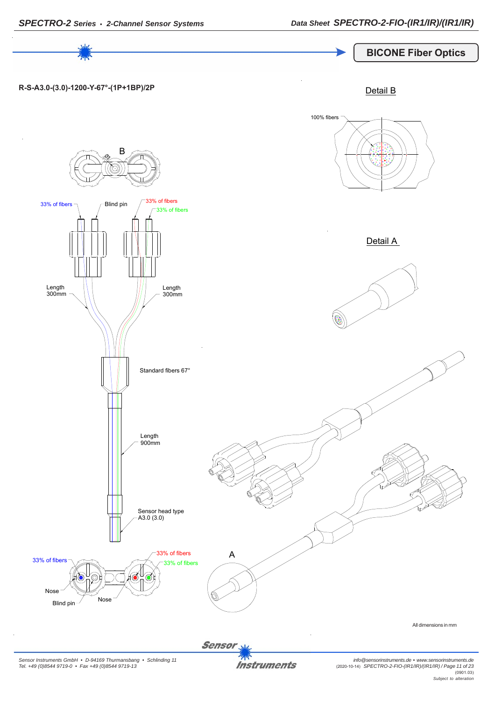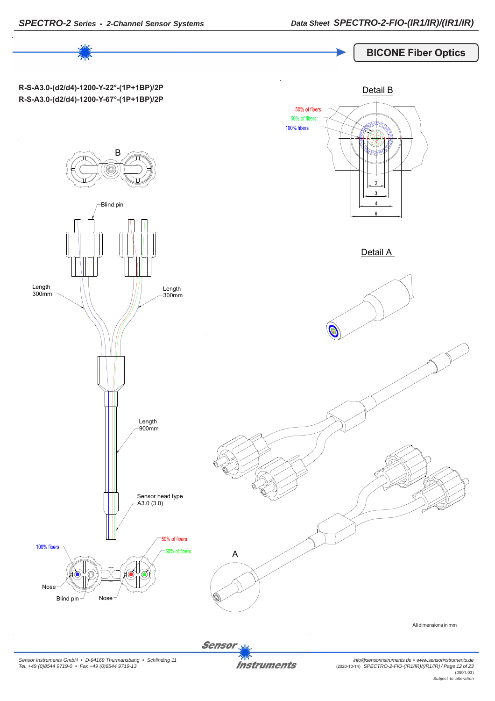

# **BICONE Fiber Optics**

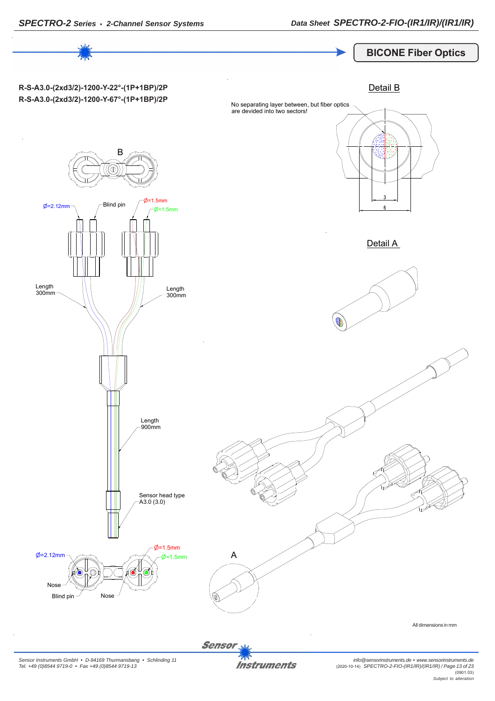

**Instruments**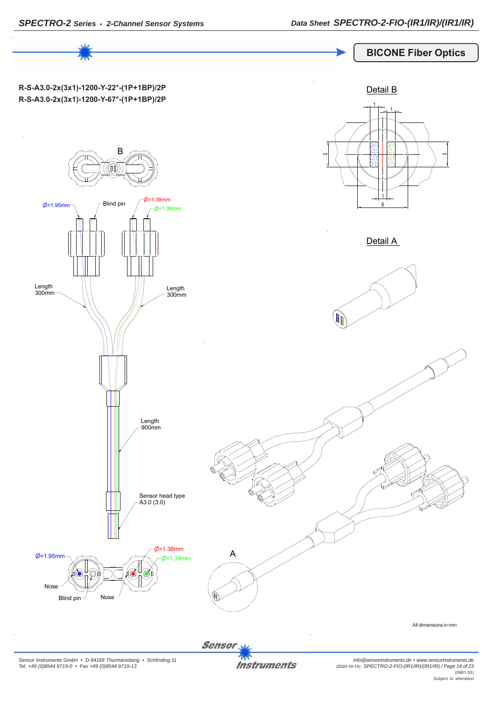# **BICONE Fiber Optics**



Sensor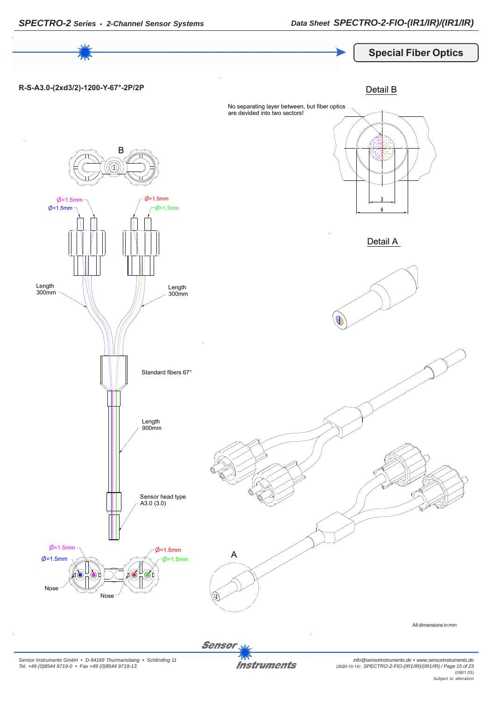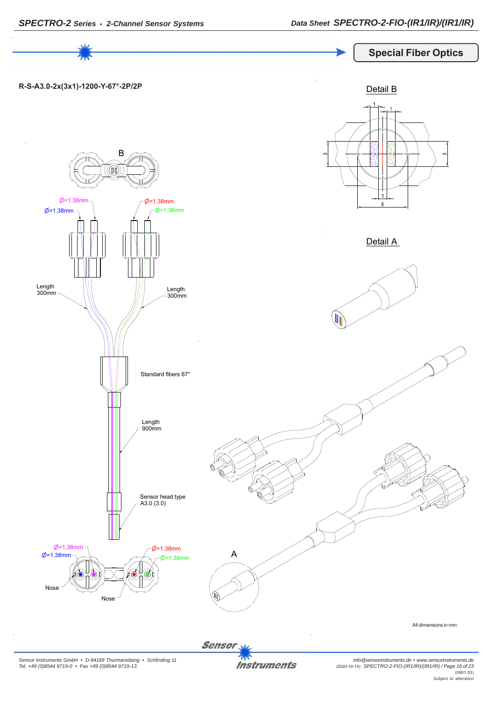

*Sensor Instruments GmbH • D-94169 Thurmansbang • Schlinding 11 Tel. +49 (0)8544 9719-0 • Fax +49 (0)8544 9719-13*

*info@sensorinstruments.de • www.sensorinstruments.de* (2020-10-14) *SPECTRO-2-FIO-(IR1/IR)/(IR1/IR) / Page 16 of 23* (0901.03) *Subject to alteration*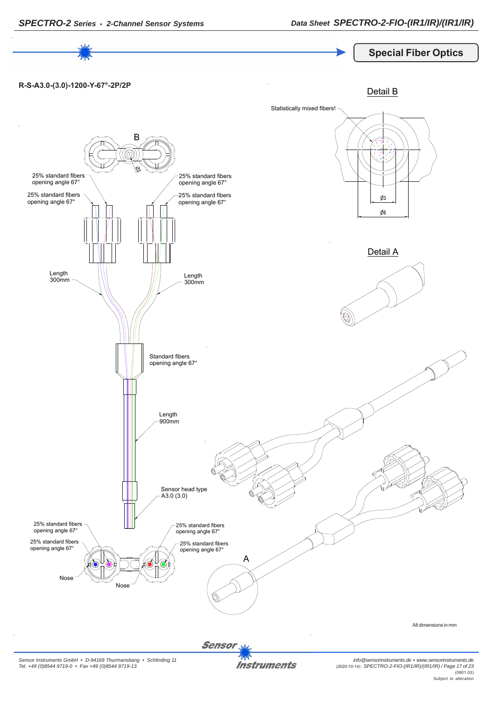



*Sensor Instruments GmbH • D-94169 Thurmansbang • Schlinding 11 Tel. +49 (0)8544 9719-0 • Fax +49 (0)8544 9719-13*

*info@sensorinstruments.de • www.sensorinstruments.de* (2020-10-14) *SPECTRO-2-FIO-(IR1/IR)/(IR1/IR) / Page 17 of 23* (0901.03) *Subject to alteration*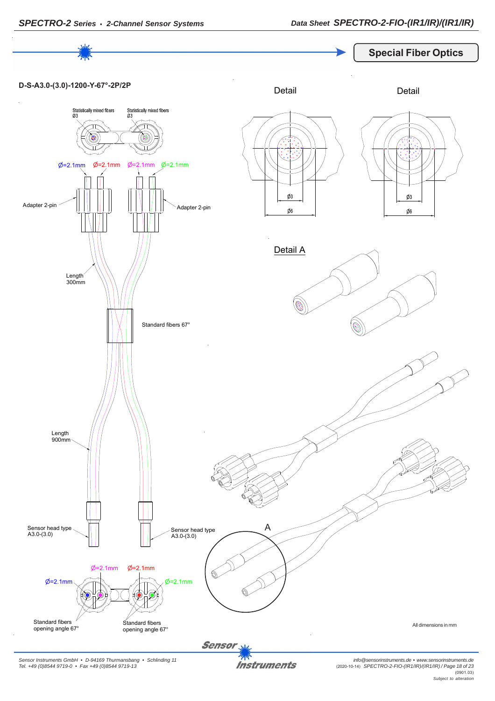

*Sensor Instruments GmbH • D-94169 Thurmansbang • Schlinding 11 Tel. +49 (0)8544 9719-0 • Fax +49 (0)8544 9719-13*

*info@sensorinstruments.de • www.sensorinstruments.de* (2020-10-14) *SPECTRO-2-FIO-(IR1/IR)/(IR1/IR) / Page 18 of 23* (0901.03) *Subject to alteration*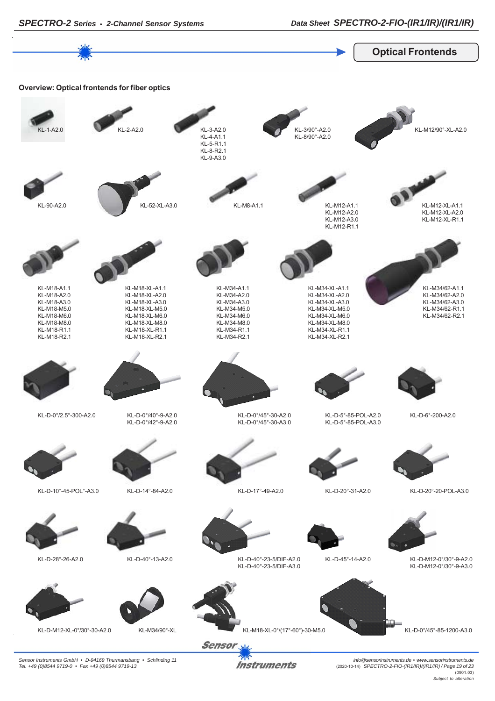

*Sensor Instruments GmbH • D-94169 Thurmansbang • Schlinding 11 Tel. +49 (0)8544 9719-0 • Fax +49 (0)8544 9719-13*

*info@sensorinstruments.de • www.sensorinstruments.de* (2020-10-14) *SPECTRO-2-FIO-(IR1/IR)/(IR1/IR) / Page 19 of 23* (0901.03) *Subject to alteration*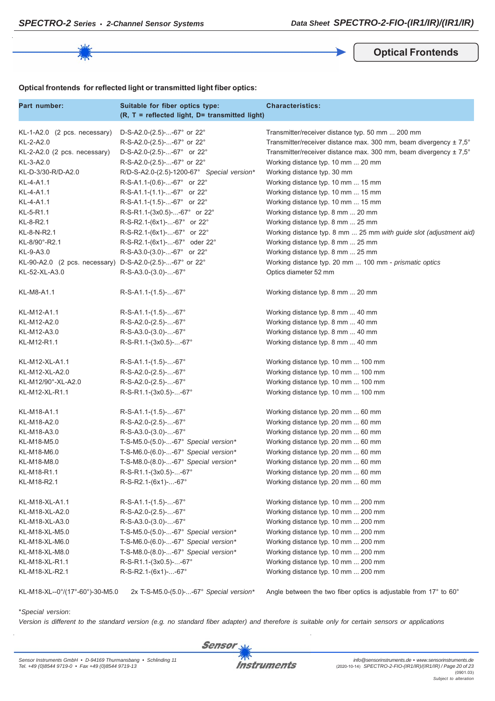**Optical Frontends**

## **Optical frontends for reflected light or transmitted light fiber optics:**

| Part number:                                             | Suitable for fiber optics type:<br>$(R, T = reflected light, D= transmitted light)$ | <b>Characteristics:</b>                                            |
|----------------------------------------------------------|-------------------------------------------------------------------------------------|--------------------------------------------------------------------|
| $KL-1-A2.0$ (2 pcs. necessary)                           | D-S-A2.0-(2.5)--67° or 22°                                                          | Transmitter/receiver distance typ. 50 mm  200 mm                   |
| KL-2-A2.0                                                | R-S-A2.0-(2.5)--67° or 22°                                                          | Transmitter/receiver distance max. 300 mm, beam divergency ± 7,5°  |
| KL-2-A2.0 (2 pcs. necessary)                             | D-S-A2.0-(2.5)--67° or 22°                                                          | Transmitter/receiver distance max. 300 mm, beam divergency ± 7,5°  |
| KL-3-A2.0                                                | R-S-A2.0-(2.5)--67° or 22°                                                          | Working distance typ. 10 mm  20 mm                                 |
| KL-D-3/30-R/D-A2.0                                       | R/D-S-A2.0-(2.5)-1200-67° Special version*                                          | Working distance typ. 30 mm                                        |
| KL-4-A1.1                                                | R-S-A1.1-(0.6)--67° or 22°                                                          | Working distance typ. 10 mm  15 mm                                 |
| KL-4-A1.1                                                | $R-S-A1.1-(1.1)$ --67° or 22°                                                       | Working distance typ. 10 mm  15 mm                                 |
| KL-4-A1.1                                                | $R-S-A1.1-(1.5)$ --67° or 22°                                                       | Working distance typ. 10 mm  15 mm                                 |
| KL-5-R1.1                                                | R-S-R1.1-(3x0.5)--67° or 22°                                                        | Working distance typ. 8 mm  20 mm                                  |
| KL-8-R2.1                                                | R-S-R2.1-(6x1)--67° or 22°                                                          | Working distance typ. 8 mm  25 mm                                  |
| KL-8-N-R2.1                                              | R-S-R2.1-(6x1)--67° or 22°                                                          | Working distance typ. 8 mm  25 mm with guide slot (adjustment aid) |
| KL-8/90°-R2.1                                            | R-S-R2.1-(6x1)--67° oder 22°                                                        | Working distance typ. 8 mm  25 mm                                  |
| KL-9-A3.0                                                | R-S-A3.0-(3.0)--67° or 22°                                                          | Working distance typ. 8 mm  25 mm                                  |
| KL-90-A2.0 (2 pcs. necessary) D-S-A2.0-(2.5)--67° or 22° |                                                                                     | Working distance typ. 20 mm  100 mm - prismatic optics             |
| KL-52-XL-A3.0                                            | $R-S-A3.0-(3.0)$ --67°                                                              | Optics diameter 52 mm                                              |
| KL-M8-A1.1                                               | $R-S-A1.1-(1.5)--67°$                                                               | Working distance typ. 8 mm  20 mm                                  |
| KL-M12-A1.1                                              | $R-S-A1.1-(1.5)$ --67°                                                              | Working distance typ. 8 mm  40 mm                                  |
| KL-M12-A2.0                                              | $R-S-A2.0-(2.5)--67^{\circ}$                                                        | Working distance typ. 8 mm  40 mm                                  |
| KL-M12-A3.0                                              | $R-S-A3.0-(3.0)$ --67°                                                              | Working distance typ. 8 mm  40 mm                                  |
| KL-M12-R1.1                                              | R-S-R1.1-(3x0.5)--67°                                                               | Working distance typ. 8 mm  40 mm                                  |
| KL-M12-XL-A1.1                                           | $R-S-A1.1-(1.5)$ --67°                                                              | Working distance typ. 10 mm  100 mm                                |
| KL-M12-XL-A2.0                                           | $R-S-A2.0-(2.5)--67^{\circ}$                                                        | Working distance typ. 10 mm  100 mm                                |
| KL-M12/90°-XL-A2.0                                       | $R-S-A2.0-(2.5)--67^{\circ}$                                                        | Working distance typ. 10 mm  100 mm                                |
| KL-M12-XL-R1.1                                           | R-S-R1.1-(3x0.5)--67°                                                               | Working distance typ. 10 mm  100 mm                                |
| KL-M18-A1.1                                              | $R-S-A1.1-(1.5)$ --67°                                                              | Working distance typ. 20 mm  60 mm                                 |
| KL-M18-A2.0                                              | $R-S-A2.0-(2.5)--67^{\circ}$                                                        | Working distance typ. 20 mm  60 mm                                 |
| KL-M18-A3.0                                              | $R-S-A3.0-(3.0)$ --67°                                                              | Working distance typ. 20 mm  60 mm                                 |
| KL-M18-M5.0                                              | T-S-M5.0-(5.0)--67° Special version*                                                | Working distance typ. 20 mm  60 mm                                 |
| KL-M18-M6.0                                              | T-S-M6.0-(6.0)--67° Special version*                                                | Working distance typ. 20 mm  60 mm                                 |
| KL-M18-M8.0                                              | T-S-M8.0-(8.0)--67° Special version*                                                | Working distance typ. 20 mm  60 mm                                 |
| KL-M18-R1.1                                              | R-S-R1.1-(3x0.5)--67°                                                               | Working distance typ. 20 mm  60 mm                                 |
| KL-M18-R2.1                                              | $R-S-R2.1-(6x1)$ --67°                                                              | Working distance typ. 20 mm  60 mm                                 |
| KL-M18-XL-A1.1                                           | $R-S-A1.1-(1.5)--67°$                                                               | Working distance typ. 10 mm  200 mm                                |
| KL-M18-XL-A2.0                                           | R-S-A2.0-(2.5)--67°                                                                 | Working distance typ. 10 mm  200 mm                                |
| KL-M18-XL-A3.0                                           | R-S-A3.0-(3.0)--67°                                                                 | Working distance typ. 10 mm  200 mm                                |
| KL-M18-XL-M5.0                                           | T-S-M5.0-(5.0)--67° Special version*                                                | Working distance typ. 10 mm  200 mm                                |
| KL-M18-XL-M6.0                                           | T-S-M6.0-(6.0)--67° Special version*                                                | Working distance typ. 10 mm  200 mm                                |
| KL-M18-XL-M8.0                                           | T-S-M8.0-(8.0)--67° Special version*                                                | Working distance typ. 10 mm  200 mm                                |
| KL-M18-XL-R1.1                                           | R-S-R1.1-(3x0.5)--67°                                                               | Working distance typ. 10 mm  200 mm                                |
| KL-M18-XL-R2.1                                           | R-S-R2.1-(6x1)--67°                                                                 | Working distance typ. 10 mm  200 mm                                |

KL-M18-XL--0°/(17°-60°)-30-M5.0 2x T-S-M5.0-(5.0)-...-67° *Special version\** Angle between the two fiber optics is adjustable from 17° to 60°

#### \**Special version*:

*Version is different to the standard version (e.g. no standard fiber adapter) and therefore is suitable only for certain sensors or applications*

**Sensor**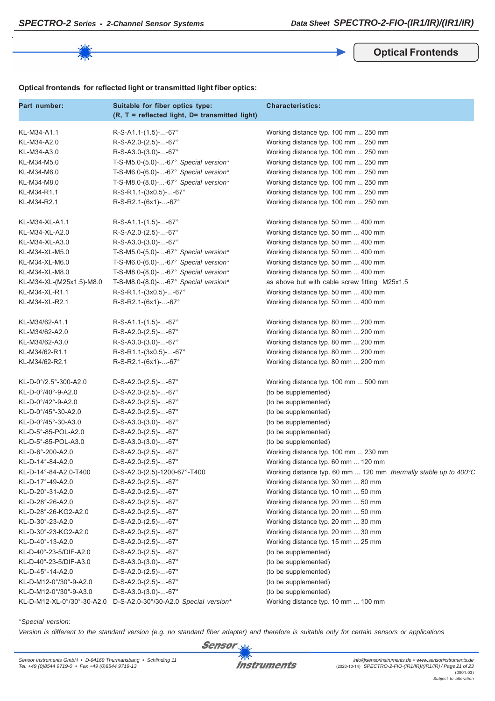**Optical Frontends**

| Part number:               | Suitable for fiber optics type:<br>(R, T = reflected light, D= transmitted light) | <b>Characteristics:</b>                                          |
|----------------------------|-----------------------------------------------------------------------------------|------------------------------------------------------------------|
| KL-M34-A1.1                | $R-S-A1.1-(1.5)--67°$                                                             | Working distance typ. 100 mm  250 mm                             |
| KL-M34-A2.0                | $R-S-A2.0-(2.5)--67^{\circ}$                                                      | Working distance typ. 100 mm  250 mm                             |
| KL-M34-A3.0                | $R-S-A3.0-(3.0)$ --67°                                                            | Working distance typ. 100 mm  250 mm                             |
| KL-M34-M5.0                | T-S-M5.0-(5.0)--67° Special version*                                              | Working distance typ. 100 mm  250 mm                             |
| KL-M34-M6.0                | T-S-M6.0-(6.0)--67° Special version*                                              | Working distance typ. 100 mm  250 mm                             |
| KL-M34-M8.0                | T-S-M8.0-(8.0)--67° Special version*                                              | Working distance typ. 100 mm  250 mm                             |
| KL-M34-R1.1                | R-S-R1.1-(3x0.5)--67°                                                             | Working distance typ. 100 mm  250 mm                             |
| KL-M34-R2.1                | R-S-R2.1-(6x1)--67°                                                               | Working distance typ. 100 mm  250 mm                             |
| KL-M34-XL-A1.1             | $R-S-A1.1-(1.5)$ --67°                                                            | Working distance typ. 50 mm  400 mm                              |
| KL-M34-XL-A2.0             | $R-S-A2.0-(2.5)--67^{\circ}$                                                      | Working distance typ. 50 mm  400 mm                              |
| KL-M34-XL-A3.0             | $R-S-A3.0-(3.0)$ --67°                                                            | Working distance typ. 50 mm  400 mm                              |
| KL-M34-XL-M5.0             | T-S-M5.0- $(5.0)$ --67° Special version*                                          | Working distance typ. 50 mm  400 mm                              |
| KL-M34-XL-M6.0             | T-S-M6.0-(6.0)--67° Special version*                                              | Working distance typ. 50 mm  400 mm                              |
| KL-M34-XL-M8.0             | T-S-M8.0-(8.0)--67° Special version*                                              | Working distance typ. 50 mm  400 mm                              |
| KL-M34-XL-(M25x1.5)-M8.0   | T-S-M8.0-(8.0)--67° Special version*                                              | as above but with cable screw fitting M25x1.5                    |
| KL-M34-XL-R1.1             | R-S-R1.1-(3x0.5)--67°                                                             | Working distance typ. 50 mm  400 mm                              |
| KL-M34-XL-R2.1             | R-S-R2.1-(6x1)--67°                                                               | Working distance typ. 50 mm  400 mm                              |
| KL-M34/62-A1.1             | $R-S-A1.1-(1.5)--67°$                                                             | Working distance typ. 80 mm  200 mm                              |
| KL-M34/62-A2.0             | R-S-A2.0-(2.5)--67°                                                               | Working distance typ. 80 mm  200 mm                              |
| KL-M34/62-A3.0             | $R-S-A3.0-(3.0)$ --67°                                                            | Working distance typ. 80 mm  200 mm                              |
| KL-M34/62-R1.1             | $R-S-R1.1-(3x0.5)$ --67°                                                          | Working distance typ. 80 mm  200 mm                              |
| KL-M34/62-R2.1             | R-S-R2.1-(6x1)--67°                                                               | Working distance typ. 80 mm  200 mm                              |
| KL-D-0°/2.5°-300-A2.0      | $D-S-A2.0-(2.5)$ --67°                                                            | Working distance typ. 100 mm  500 mm                             |
| KL-D-0°/40°-9-A2.0         | $D-S-A2.0-(2.5)$ --67°                                                            | (to be supplemented)                                             |
| KL-D-0°/42°-9-A2.0         | $D-S-A2.0-(2.5)$ --67°                                                            | (to be supplemented)                                             |
| KL-D-0°/45°-30-A2.0        | $D-S-A2.0-(2.5)$ --67°                                                            | (to be supplemented)                                             |
| KL-D-0°/45°-30-A3.0        | $D-S-A3.0-(3.0)$ --67°                                                            | (to be supplemented)                                             |
| KL-D-5°-85-POL-A2.0        | $D-S-A2.0-(2.5)$ --67°                                                            | (to be supplemented)                                             |
| KL-D-5°-85-POL-A3.0        | $D-S-A3.0-(3.0)$ --67°                                                            | (to be supplemented)                                             |
| KL-D-6°-200-A2.0           | $D-S-A2.0-(2.5)$ --67°                                                            | Working distance typ. 100 mm  230 mm                             |
| KL-D-14°-84-A2.0           | $D-S-A2.0-(2.5)$ --67°                                                            | Working distance typ. 60 mm  120 mm                              |
| KL-D-14°-84-A2.0-T400      | D-S-A2.0-(2.5)-1200-67°-T400                                                      | Working distance typ. 60 mm  120 mm thermally stable up to 400°C |
| KL-D-17°-49-A2.0           | $D-S-A2.0-(2.5)$ --67°                                                            | Working distance typ. 30 mm  80 mm                               |
| KL-D-20°-31-A2.0           | $D-S-A2.0-(2.5)$ --67°                                                            | Working distance typ. 10 mm  50 mm                               |
| KL-D-28°-26-A2.0           | $D-S-A2.0-(2.5)$ --67°                                                            | Working distance typ. 20 mm  50 mm                               |
| KL-D-28°-26-KG2-A2.0       | $D-S-A2.0-(2.5)$ --67°                                                            | Working distance typ. 20 mm  50 mm                               |
| KL-D-30°-23-A2.0           | $D-S-A2.0-(2.5)$ --67°                                                            | Working distance typ. 20 mm  30 mm                               |
| KL-D-30°-23-KG2-A2.0       | $D-S-A2.0-(2.5)$ --67°                                                            | Working distance typ. 20 mm  30 mm                               |
| KL-D-40°-13-A2.0           | $D-S-A2.0-(2.5)$ --67°                                                            | Working distance typ. 15 mm  25 mm                               |
| KL-D-40°-23-5/DIF-A2.0     | D-S-A2.0-(2.5)--67°                                                               | (to be supplemented)                                             |
| KL-D-40°-23-5/DIF-A3.0     | D-S-A3.0-(3.0)--67°                                                               | (to be supplemented)                                             |
| KL-D-45°-14-A2.0           | D-S-A2.0-(2.5)--67°                                                               | (to be supplemented)                                             |
| KL-D-M12-0°/30°-9-A2.0     | D-S-A2.0-(2.5)--67°                                                               | (to be supplemented)                                             |
| KL-D-M12-0°/30°-9-A3.0     | $D-S-A3.0-(3.0)$ --67°                                                            | (to be supplemented)                                             |
| KL-D-M12-XL-0°/30°-30-A2.0 | D-S-A2.0-30°/30-A2.0 Special version*                                             | Working distance typ. 10 mm  100 mm                              |

\**Special version*:

*Version is different to the standard version (e.g. no standard fiber adapter) and therefore is suitable only for certain sensors or applications*



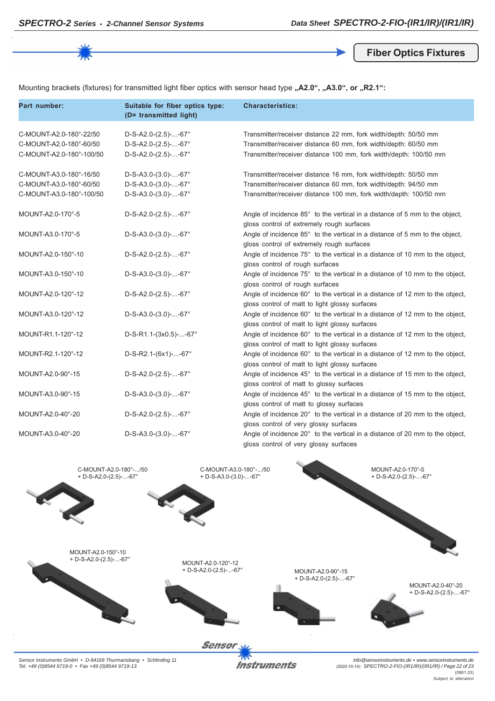**Fiber Optics Fixtures**

Mounting brackets (fixtures) for transmitted light fiber optics with sensor head type "A2.0", "A3.0", or "R2.1":

| Part number:                                                                   | Suitable for fiber optics type:<br>(D= transmitted light)                  | <b>Characteristics:</b>                                                                                                                                                                                 |
|--------------------------------------------------------------------------------|----------------------------------------------------------------------------|---------------------------------------------------------------------------------------------------------------------------------------------------------------------------------------------------------|
| C-MOUNT-A2.0-180°-22/50<br>C-MOUNT-A2.0-180°-60/50<br>C-MOUNT-A2.0-180°-100/50 | $D-S-A2.0-(2.5)$ --67°<br>$D-S-A2.0-(2.5)$ --67°<br>$D-S-A2.0-(2.5)$ --67° | Transmitter/receiver distance 22 mm, fork width/depth: 50/50 mm<br>Transmitter/receiver distance 60 mm, fork width/depth: 60/50 mm<br>Transmitter/receiver distance 100 mm, fork width/depth: 100/50 mm |
| C-MOUNT-A3.0-180°-16/50<br>C-MOUNT-A3.0-180°-60/50<br>C-MOUNT-A3.0-180°-100/50 | $D-S-A3.0-(3.0)$ --67°<br>$D-S-A3.0-(3.0)$ --67°<br>$D-S-A3.0-(3.0)$ --67° | Transmitter/receiver distance 16 mm, fork width/depth: 50/50 mm<br>Transmitter/receiver distance 60 mm, fork width/depth: 94/50 mm<br>Transmitter/receiver distance 100 mm, fork width/depth: 100/50 mm |
| MOUNT-A2.0-170°-5                                                              | $D-S-A2.0-(2.5)$ --67°                                                     | Angle of incidence 85° to the vertical in a distance of 5 mm to the object,<br>gloss control of extremely rough surfaces                                                                                |
| MOUNT-A3.0-170°-5                                                              | $D-S-A3.0-(3.0)$ --67°                                                     | Angle of incidence 85° to the vertical in a distance of 5 mm to the object,<br>gloss control of extremely rough surfaces                                                                                |
| MOUNT-A2.0-150°-10                                                             | $D-S-A2.0-(2.5)$ --67°                                                     | Angle of incidence 75° to the vertical in a distance of 10 mm to the object,<br>gloss control of rough surfaces                                                                                         |
| MOUNT-A3.0-150°-10                                                             | $D-S-A3.0-(3.0)$ --67°                                                     | Angle of incidence 75° to the vertical in a distance of 10 mm to the object,<br>gloss control of rough surfaces                                                                                         |
| MOUNT-A2.0-120°-12                                                             | $D-S-A2.0-(2.5)$ --67°                                                     | Angle of incidence 60° to the vertical in a distance of 12 mm to the object,<br>gloss control of matt to light glossy surfaces                                                                          |
| MOUNT-A3.0-120°-12                                                             | $D-S-A3.0-(3.0)$ --67°                                                     | Angle of incidence 60° to the vertical in a distance of 12 mm to the object,<br>gloss control of matt to light glossy surfaces                                                                          |
| MOUNT-R1.1-120°-12                                                             | D-S-R1.1-(3x0.5)--67°                                                      | Angle of incidence 60° to the vertical in a distance of 12 mm to the object,<br>gloss control of matt to light glossy surfaces                                                                          |
| MOUNT-R2.1-120°-12                                                             | $D-S-R2.1-(6x1)$ --67°                                                     | Angle of incidence 60° to the vertical in a distance of 12 mm to the object,<br>gloss control of matt to light glossy surfaces                                                                          |
| MOUNT-A2.0-90°-15                                                              | $D-S-A2.0-(2.5)$ --67°                                                     | Angle of incidence 45° to the vertical in a distance of 15 mm to the object,<br>gloss control of matt to glossy surfaces                                                                                |
| MOUNT-A3.0-90°-15                                                              | $D-S-A3.0-(3.0)$ --67°                                                     | Angle of incidence 45° to the vertical in a distance of 15 mm to the object,<br>gloss control of matt to glossy surfaces                                                                                |
| MOUNT-A2.0-40°-20                                                              | $D-S-A2.0-(2.5)$ --67°                                                     | Angle of incidence 20° to the vertical in a distance of 20 mm to the object,<br>gloss control of very glossy surfaces                                                                                   |
| MOUNT-A3.0-40°-20                                                              | $D-S-A3.0-(3.0)$ --67°                                                     | Angle of incidence 20° to the vertical in a distance of 20 mm to the object,<br>gloss control of very glossy surfaces                                                                                   |



*Sensor Instruments GmbH • D-94169 Thurmansbang • Schlinding 11 Tel. +49 (0)8544 9719-0 • Fax +49 (0)8544 9719-13*

**Instruments** 

*info@sensorinstruments.de • www.sensorinstruments.de* (2020-10-14) *SPECTRO-2-FIO-(IR1/IR)/(IR1/IR) / Page 22 of 23* (0901.03) *Subject to alteration*